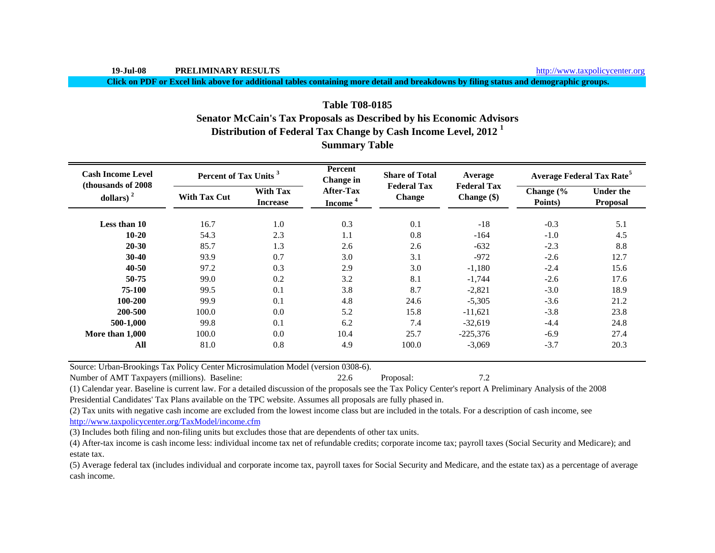**Click on PDF or Excel link above for additional tables containing more detail and breakdowns by filing status and demographic groups.**

# **Table T08-0185Senator McCain's Tax Proposals as Described by his Economic Advisors Distribution of Federal Tax Change by Cash Income Level, 2012 <sup>1</sup> Summary Table**

| <b>Cash Income Level</b><br>(thousands of 2008) | Percent of Tax Units <sup>3</sup> |                                    | <b>Percent</b><br><b>Change</b> in      | <b>Share of Total</b>               | Average                             |                      | <b>Average Federal Tax Rate<sup>5</sup></b> |
|-------------------------------------------------|-----------------------------------|------------------------------------|-----------------------------------------|-------------------------------------|-------------------------------------|----------------------|---------------------------------------------|
| dollars) $2$                                    | <b>With Tax Cut</b>               | <b>With Tax</b><br><b>Increase</b> | <b>After-Tax</b><br>Income <sup>4</sup> | <b>Federal Tax</b><br><b>Change</b> | <b>Federal Tax</b><br>Change $(\$)$ | Change (%<br>Points) | <b>Under the</b><br><b>Proposal</b>         |
| Less than 10                                    | 16.7                              | 1.0                                | 0.3                                     | 0.1                                 | $-18$                               | $-0.3$               | 5.1                                         |
| $10 - 20$                                       | 54.3                              | 2.3                                | 1.1                                     | 0.8                                 | $-164$                              | $-1.0$               | 4.5                                         |
| $20 - 30$                                       | 85.7                              | 1.3                                | 2.6                                     | 2.6                                 | $-632$                              | $-2.3$               | 8.8                                         |
| $30-40$                                         | 93.9                              | 0.7                                | 3.0                                     | 3.1                                 | $-972$                              | $-2.6$               | 12.7                                        |
| $40 - 50$                                       | 97.2                              | 0.3                                | 2.9                                     | 3.0                                 | $-1,180$                            | $-2.4$               | 15.6                                        |
| 50-75                                           | 99.0                              | 0.2                                | 3.2                                     | 8.1                                 | $-1,744$                            | $-2.6$               | 17.6                                        |
| 75-100                                          | 99.5                              | 0.1                                | 3.8                                     | 8.7                                 | $-2,821$                            | $-3.0$               | 18.9                                        |
| 100-200                                         | 99.9                              | 0.1                                | 4.8                                     | 24.6                                | $-5,305$                            | $-3.6$               | 21.2                                        |
| 200-500                                         | 100.0                             | 0.0                                | 5.2                                     | 15.8                                | $-11,621$                           | $-3.8$               | 23.8                                        |
| 500-1,000                                       | 99.8                              | 0.1                                | 6.2                                     | 7.4                                 | $-32,619$                           | $-4.4$               | 24.8                                        |
| More than 1,000                                 | 100.0                             | 0.0                                | 10.4                                    | 25.7                                | $-225,376$                          | $-6.9$               | 27.4                                        |
| All                                             | 81.0                              | 0.8                                | 4.9                                     | 100.0                               | $-3,069$                            | $-3.7$               | 20.3                                        |

Source: Urban-Brookings Tax Policy Center Microsimulation Model (version 0308-6).

Number of AMT Taxpayers (millions). Baseline: 22.6 Proposal: 7.2

(1) Calendar year. Baseline is current law. For a detailed discussion of the proposals see the Tax Policy Center's report A Preliminary Analysis of the 2008 Presidential Candidates' Tax Plans available on the TPC website. Assumes all proposals are fully phased in.

(2) Tax units with negative cash income are excluded from the lowest income class but are included in the totals. For a description of cash income, see

http://www.taxpolicycenter.org/TaxModel/income.cfm

(3) Includes both filing and non-filing units but excludes those that are dependents of other tax units.

(4) After-tax income is cash income less: individual income tax net of refundable credits; corporate income tax; payroll taxes (Social Security and Medicare); and estate tax.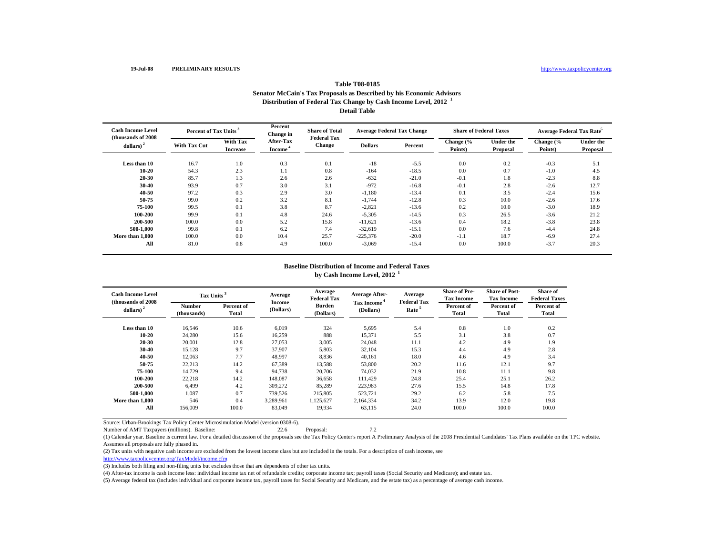#### **Table T08-0185 Senator McCain's Tax Proposals as Described by his Economic Advisors Distribution of Federal Tax Change by Cash Income Level, 2012 <sup>1</sup> Detail Table**

| <b>Cash Income Level</b><br>(thousands of 2008) | Percent of Tax Units |                             | Percent<br>Change in             | <b>Share of Total</b><br><b>Federal Tax</b> | <b>Average Federal Tax Change</b> |         | <b>Share of Federal Taxes</b> |                              | Average Federal Tax Rate |                              |
|-------------------------------------------------|----------------------|-----------------------------|----------------------------------|---------------------------------------------|-----------------------------------|---------|-------------------------------|------------------------------|--------------------------|------------------------------|
| dollars) <sup>2</sup>                           | <b>With Tax Cut</b>  | With Tax<br><b>Increase</b> | After-Tax<br>Income <sup>*</sup> | <b>Change</b>                               | <b>Dollars</b>                    | Percent | Change (%<br>Points)          | <b>Under the</b><br>Proposal | Change (%<br>Points)     | <b>Under the</b><br>Proposal |
| Less than 10                                    | 16.7                 | 1.0                         | 0.3                              | 0.1                                         | $-18$                             | $-5.5$  | 0.0                           | 0.2                          | $-0.3$                   | 5.1                          |
| 10-20                                           | 54.3                 | 2.3                         | 1.1                              | 0.8                                         | $-164$                            | $-18.5$ | 0.0                           | 0.7                          | $-1.0$                   | 4.5                          |
| 20-30                                           | 85.7                 | 1.3                         | 2.6                              | 2.6                                         | $-632$                            | $-21.0$ | $-0.1$                        | 1.8                          | $-2.3$                   | 8.8                          |
| 30-40                                           | 93.9                 | 0.7                         | 3.0                              | 3.1                                         | $-972$                            | $-16.8$ | $-0.1$                        | 2.8                          | $-2.6$                   | 12.7                         |
| 40-50                                           | 97.2                 | 0.3                         | 2.9                              | 3.0                                         | $-1,180$                          | $-13.4$ | 0.1                           | 3.5                          | $-2.4$                   | 15.6                         |
| 50-75                                           | 99.0                 | 0.2                         | 3.2                              | 8.1                                         | $-1,744$                          | $-12.8$ | 0.3                           | 10.0                         | $-2.6$                   | 17.6                         |
| 75-100                                          | 99.5                 | 0.1                         | 3.8                              | 8.7                                         | $-2,821$                          | $-13.6$ | 0.2                           | 10.0                         | $-3.0$                   | 18.9                         |
| 100-200                                         | 99.9                 | 0.1                         | 4.8                              | 24.6                                        | $-5,305$                          | $-14.5$ | 0.3                           | 26.5                         | $-3.6$                   | 21.2                         |
| 200-500                                         | 100.0                | 0.0                         | 5.2                              | 15.8                                        | $-11.621$                         | $-13.6$ | 0.4                           | 18.2                         | $-3.8$                   | 23.8                         |
| 500-1.000                                       | 99.8                 | 0.1                         | 6.2                              | 7.4                                         | $-32,619$                         | $-15.1$ | 0.0                           | 7.6                          | $-4.4$                   | 24.8                         |
| More than 1.000                                 | 100.0                | 0.0                         | 10.4                             | 25.7                                        | $-225,376$                        | $-20.0$ | $-1.1$                        | 18.7                         | $-6.9$                   | 27.4                         |
| All                                             | 81.0                 | 0.8                         | 4.9                              | 100.0                                       | $-3,069$                          | $-15.4$ | 0.0                           | 100.0                        | $-3.7$                   | 20.3                         |

## **Baseline Distribution of Income and Federal Taxesby Cash Income Level, 2012 <sup>1</sup>**

| <b>Cash Income Level</b><br>(thousands of 2008) | Tax Units <sup>3</sup>       |                     | Average             | Average<br><b>Federal Tax</b> | <b>Average After-</b>   | Average<br><b>Federal Tax</b> | <b>Share of Pre-</b><br><b>Tax Income</b> | <b>Share of Post-</b><br><b>Tax Income</b> | <b>Share of</b><br><b>Federal Taxes</b> |
|-------------------------------------------------|------------------------------|---------------------|---------------------|-------------------------------|-------------------------|-------------------------------|-------------------------------------------|--------------------------------------------|-----------------------------------------|
| $\leftdollars\right>$ <sup>2</sup>              | <b>Number</b><br>(thousands) | Percent of<br>Total | Income<br>(Dollars) | <b>Burden</b><br>(Dollars)    | Tax Income<br>(Dollars) | Rate <sup>5</sup>             | Percent of<br><b>Total</b>                | Percent of<br>Total                        | Percent of<br>Total                     |
| Less than 10                                    | 16,546                       | 10.6                | 6,019               | 324                           | 5,695                   | 5.4                           | 0.8                                       | 1.0                                        | 0.2                                     |
| $10 - 20$                                       | 24,280                       | 15.6                | 16,259              | 888                           | 15,371                  | 5.5                           | 3.1                                       | 3.8                                        | 0.7                                     |
| 20-30                                           | 20,001                       | 12.8                | 27,053              | 3,005                         | 24,048                  | 11.1                          | 4.2                                       | 4.9                                        | 1.9                                     |
| 30-40                                           | 15,128                       | 9.7                 | 37,907              | 5,803                         | 32,104                  | 15.3                          | 4.4                                       | 4.9                                        | 2.8                                     |
| 40-50                                           | 12,063                       | 7.7                 | 48,997              | 8,836                         | 40,161                  | 18.0                          | 4.6                                       | 4.9                                        | 3.4                                     |
| 50-75                                           | 22,213                       | 14.2                | 67,389              | 13,588                        | 53,800                  | 20.2                          | 11.6                                      | 12.1                                       | 9.7                                     |
| 75-100                                          | 14,729                       | 9.4                 | 94,738              | 20,706                        | 74,032                  | 21.9                          | 10.8                                      | 11.1                                       | 9.8                                     |
| 100-200                                         | 22,218                       | 14.2                | 148,087             | 36.658                        | 111.429                 | 24.8                          | 25.4                                      | 25.1                                       | 26.2                                    |
| 200-500                                         | 6.499                        | 4.2                 | 309,272             | 85,289                        | 223,983                 | 27.6                          | 15.5                                      | 14.8                                       | 17.8                                    |
| 500-1.000                                       | 1,087                        | 0.7                 | 739,526             | 215,805                       | 523,721                 | 29.2                          | 6.2                                       | 5.8                                        | 7.5                                     |
| More than 1.000                                 | 546                          | 0.4                 | 3,289,961           | 1,125,627                     | 2,164,334               | 34.2                          | 13.9                                      | 12.0                                       | 19.8                                    |
| All                                             | 156,009                      | 100.0               | 83,049              | 19,934                        | 63,115                  | 24.0                          | 100.0                                     | 100.0                                      | 100.0                                   |

Source: Urban-Brookings Tax Policy Center Microsimulation Model (version 0308-6).

Number of AMT Taxpayers (millions). Baseline: 22.6 Proposal: 7.2

(1) Calendar year. Baseline is current law. For a detailed discussion of the proposals see the Tax Policy Center's report A Preliminary Analysis of the 2008 Presidential Candidates' Tax Plans available on the TPC website. Assumes all proposals are fully phased in.

(2) Tax units with negative cash income are excluded from the lowest income class but are included in the totals. For a description of cash income, see

http://www.taxpolicycenter.org/TaxModel/income.cfm

(3) Includes both filing and non-filing units but excludes those that are dependents of other tax units.

(4) After-tax income is cash income less: individual income tax net of refundable credits; corporate income tax; payroll taxes (Social Security and Medicare); and estate tax.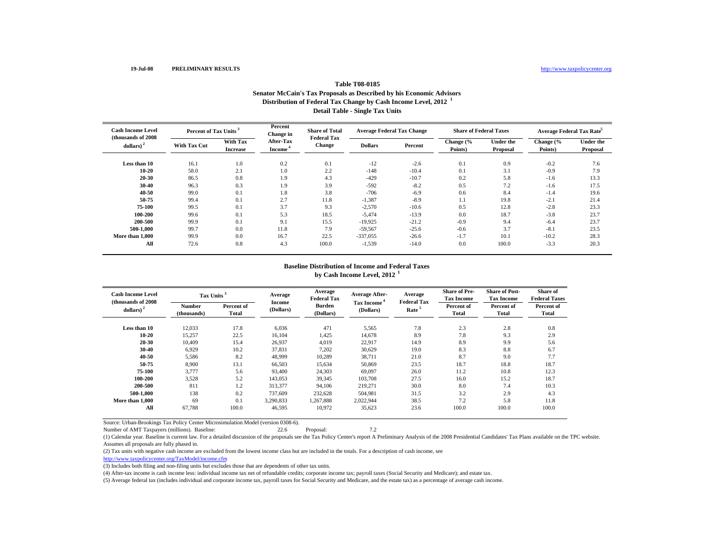# **Table T08-0185Senator McCain's Tax Proposals as Described by his Economic Advisors Distribution of Federal Tax Change by Cash Income Level, 2012 <sup>1</sup> Detail Table - Single Tax Units**

| <b>Cash Income Level</b><br>(thousands of 2008) | Percent of Tax Units |                                    | Percent<br>Change in             | <b>Share of Total</b><br><b>Federal Tax</b> | <b>Average Federal Tax Change</b> |         | <b>Share of Federal Taxes</b> |                       | Average Federal Tax Rate <sup>5</sup> |                              |
|-------------------------------------------------|----------------------|------------------------------------|----------------------------------|---------------------------------------------|-----------------------------------|---------|-------------------------------|-----------------------|---------------------------------------|------------------------------|
| dollars) <sup>2</sup>                           | <b>With Tax Cut</b>  | <b>With Tax</b><br><b>Increase</b> | After-Tax<br>Income <sup>4</sup> | <b>Change</b>                               | <b>Dollars</b>                    | Percent | Change (%<br>Points)          | Under the<br>Proposal | Change (%<br>Points)                  | <b>Under the</b><br>Proposal |
| Less than 10                                    | 16.1                 | 1.0                                | 0.2                              | 0.1                                         | $-12$                             | $-2.6$  | 0.1                           | 0.9                   | $-0.2$                                | 7.6                          |
| $10 - 20$                                       | 58.0                 | 2.1                                | 1.0                              | 2.2                                         | $-148$                            | $-10.4$ | 0.1                           | 3.1                   | $-0.9$                                | 7.9                          |
| $20 - 30$                                       | 86.5                 | 0.8                                | 1.9                              | 4.3                                         | $-429$                            | $-10.7$ | 0.2                           | 5.8                   | $-1.6$                                | 13.3                         |
| $30 - 40$                                       | 96.3                 | 0.3                                | 1.9                              | 3.9                                         | $-592$                            | $-8.2$  | 0.5                           | 7.2                   | $-1.6$                                | 17.5                         |
| $40 - 50$                                       | 99.0                 | 0.1                                | 1.8                              | 3.8                                         | $-706$                            | $-6.9$  | 0.6                           | 8.4                   | $-1.4$                                | 19.6                         |
| 50-75                                           | 99.4                 | 0.1                                | 2.7                              | 11.8                                        | $-1,387$                          | $-8.9$  | 1.1                           | 19.8                  | $-2.1$                                | 21.4                         |
| 75-100                                          | 99.5                 | 0.1                                | 3.7                              | 9.3                                         | $-2,570$                          | $-10.6$ | 0.5                           | 12.8                  | $-2.8$                                | 23.3                         |
| 100-200                                         | 99.6                 | 0.1                                | 5.3                              | 18.5                                        | $-5,474$                          | $-13.9$ | 0.0                           | 18.7                  | $-3.8$                                | 23.7                         |
| 200-500                                         | 99.9                 | 0.1                                | 9.1                              | 15.5                                        | $-19,925$                         | $-21.2$ | $-0.9$                        | 9.4                   | $-6.4$                                | 23.7                         |
| 500-1.000                                       | 99.7                 | 0.0                                | 11.8                             | 7.9                                         | $-59,567$                         | $-25.6$ | $-0.6$                        | 3.7                   | $-8.1$                                | 23.5                         |
| More than 1,000                                 | 99.9                 | 0.0                                | 16.7                             | 22.5                                        | $-337,055$                        | $-26.6$ | $-1.7$                        | 10.1                  | $-10.2$                               | 28.3                         |
| All                                             | 72.6                 | 0.8                                | 4.3                              | 100.0                                       | $-1,539$                          | $-14.0$ | 0.0                           | 100.0                 | $-3.3$                                | 20.3                         |

# **Baseline Distribution of Income and Federal Taxesby Cash Income Level, 2012 <sup>1</sup>**

| <b>Cash Income Level</b><br>(thousands of 2008) | Tax Units <sup>3</sup>       |                     | Average             | Average<br><b>Federal Tax</b> | <b>Average After-</b>   | Average<br><b>Federal Tax</b> | <b>Share of Pre-</b><br><b>Tax Income</b> | <b>Share of Post-</b><br><b>Tax Income</b> | <b>Share of</b><br><b>Federal Taxes</b> |
|-------------------------------------------------|------------------------------|---------------------|---------------------|-------------------------------|-------------------------|-------------------------------|-------------------------------------------|--------------------------------------------|-----------------------------------------|
| $\leftdollars\right>$ <sup>2</sup>              | <b>Number</b><br>(thousands) | Percent of<br>Total | Income<br>(Dollars) | <b>Burden</b><br>(Dollars)    | Tax Income<br>(Dollars) | Rate <sup>5</sup>             | Percent of<br><b>Total</b>                | Percent of<br>Total                        | Percent of<br>Total                     |
| Less than 10                                    | 12,033                       | 17.8                | 6,036               | 471                           | 5,565                   | 7.8                           | 2.3                                       | 2.8                                        | 0.8                                     |
| $10 - 20$                                       | 15,257                       | 22.5                | 16.104              | 1,425                         | 14.678                  | 8.9                           | 7.8                                       | 9.3                                        | 2.9                                     |
| 20-30                                           | 10,409                       | 15.4                | 26,937              | 4,019                         | 22,917                  | 14.9                          | 8.9                                       | 9.9                                        | 5.6                                     |
| 30-40                                           | 6,929                        | 10.2                | 37,831              | 7,202                         | 30,629                  | 19.0                          | 8.3                                       | 8.8                                        | 6.7                                     |
| 40-50                                           | 5,586                        | 8.2                 | 48,999              | 10,289                        | 38,711                  | 21.0                          | 8.7                                       | 9.0                                        | 7.7                                     |
| 50-75                                           | 8,900                        | 13.1                | 66,503              | 15,634                        | 50,869                  | 23.5                          | 18.7                                      | 18.8                                       | 18.7                                    |
| 75-100                                          | 3,777                        | 5.6                 | 93,400              | 24,303                        | 69,097                  | 26.0                          | 11.2                                      | 10.8                                       | 12.3                                    |
| 100-200                                         | 3,528                        | 5.2                 | 143,053             | 39,345                        | 103,708                 | 27.5                          | 16.0                                      | 15.2                                       | 18.7                                    |
| 200-500                                         | 811                          | 1.2                 | 313.377             | 94.106                        | 219,271                 | 30.0                          | 8.0                                       | 7.4                                        | 10.3                                    |
| 500-1.000                                       | 138                          | 0.2                 | 737,609             | 232,628                       | 504.981                 | 31.5                          | 3.2                                       | 2.9                                        | 4.3                                     |
| More than 1.000                                 | 69                           | 0.1                 | 3.290.833           | 1,267,888                     | 2.022.944               | 38.5                          | 7.2                                       | 5.8                                        | 11.8                                    |
| All                                             | 67,788                       | 100.0               | 46,595              | 10,972                        | 35,623                  | 23.6                          | 100.0                                     | 100.0                                      | 100.0                                   |

Source: Urban-Brookings Tax Policy Center Microsimulation Model (version 0308-6).

Number of AMT Taxpayers (millions). Baseline: 22.6 Proposal: 7.2

(1) Calendar year. Baseline is current law. For a detailed discussion of the proposals see the Tax Policy Center's report A Preliminary Analysis of the 2008 Presidential Candidates' Tax Plans available on the TPC website. Assumes all proposals are fully phased in.

(2) Tax units with negative cash income are excluded from the lowest income class but are included in the totals. For a description of cash income, see

http://www.taxpolicycenter.org/TaxModel/income.cfm

(3) Includes both filing and non-filing units but excludes those that are dependents of other tax units.

(4) After-tax income is cash income less: individual income tax net of refundable credits; corporate income tax; payroll taxes (Social Security and Medicare); and estate tax.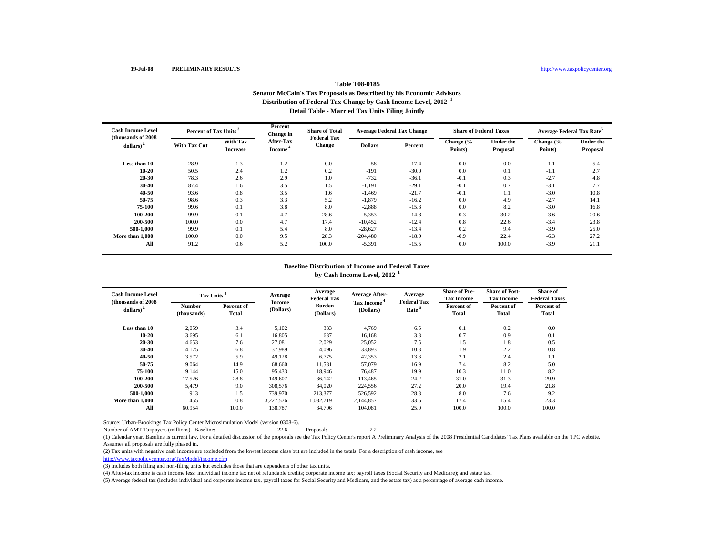# **Table T08-0185Senator McCain's Tax Proposals as Described by his Economic Advisors Distribution of Federal Tax Change by Cash Income Level, 2012 <sup>1</sup> Detail Table - Married Tax Units Filing Jointly**

| <b>Cash Income Level</b><br>(thousands of 2008) | Percent of Tax Units |                                    | Percent<br>Change in                    | <b>Share of Total</b><br><b>Federal Tax</b> | <b>Average Federal Tax Change</b> |         | <b>Share of Federal Taxes</b> |                              | Average Federal Tax Rate <sup>5</sup> |                              |
|-------------------------------------------------|----------------------|------------------------------------|-----------------------------------------|---------------------------------------------|-----------------------------------|---------|-------------------------------|------------------------------|---------------------------------------|------------------------------|
| dollars) <sup>2</sup>                           | <b>With Tax Cut</b>  | <b>With Tax</b><br><b>Increase</b> | <b>After-Tax</b><br>Income <sup>4</sup> | <b>Change</b>                               | <b>Dollars</b>                    | Percent | Change (%<br>Points)          | <b>Under the</b><br>Proposal | Change (%<br>Points)                  | <b>Under the</b><br>Proposal |
| Less than 10                                    | 28.9                 | 1.3                                | 1.2                                     | 0.0                                         | $-58$                             | $-17.4$ | 0.0                           | 0.0                          | $-1.1$                                | 5.4                          |
| $10 - 20$                                       | 50.5                 | 2.4                                | 1.2                                     | 0.2                                         | $-191$                            | $-30.0$ | 0.0                           | 0.1                          | $-1.1$                                | 2.7                          |
| $20 - 30$                                       | 78.3                 | 2.6                                | 2.9                                     | 1.0                                         | $-732$                            | $-36.1$ | $-0.1$                        | 0.3                          | $-2.7$                                | 4.8                          |
| $30 - 40$                                       | 87.4                 | 1.6                                | 3.5                                     | 1.5                                         | $-1,191$                          | $-29.1$ | $-0.1$                        | 0.7                          | $-3.1$                                | 7.7                          |
| $40 - 50$                                       | 93.6                 | 0.8                                | 3.5                                     | 1.6                                         | $-1,469$                          | $-21.7$ | $-0.1$                        | 1.1                          | $-3.0$                                | 10.8                         |
| 50-75                                           | 98.6                 | 0.3                                | 3.3                                     | 5.2                                         | $-1,879$                          | $-16.2$ | 0.0                           | 4.9                          | $-2.7$                                | 14.1                         |
| 75-100                                          | 99.6                 | 0.1                                | 3.8                                     | 8.0                                         | $-2,888$                          | $-15.3$ | 0.0                           | 8.2                          | $-3.0$                                | 16.8                         |
| 100-200                                         | 99.9                 | 0.1                                | 4.7                                     | 28.6                                        | $-5,353$                          | $-14.8$ | 0.3                           | 30.2                         | $-3.6$                                | 20.6                         |
| 200-500                                         | 100.0                | 0.0                                | 4.7                                     | 17.4                                        | $-10,452$                         | $-12.4$ | 0.8                           | 22.6                         | $-3.4$                                | 23.8                         |
| 500-1.000                                       | 99.9                 | 0.1                                | 5.4                                     | 8.0                                         | $-28.627$                         | $-13.4$ | 0.2                           | 9.4                          | $-3.9$                                | 25.0                         |
| More than 1,000                                 | 100.0                | 0.0                                | 9.5                                     | 28.3                                        | $-204,480$                        | $-18.9$ | $-0.9$                        | 22.4                         | $-6.3$                                | 27.2                         |
| All                                             | 91.2                 | 0.6                                | 5.2                                     | 100.0                                       | $-5,391$                          | $-15.5$ | 0.0                           | 100.0                        | $-3.9$                                | 21.1                         |

## **Baseline Distribution of Income and Federal Taxesby Cash Income Level, 2012 <sup>1</sup>**

| <b>Cash Income Level</b><br>(thousands of 2008) | Tax Units <sup>3</sup>       |                     | Average             | Average<br><b>Federal Tax</b> | <b>Average After-</b>   | Average<br><b>Federal Tax</b> | <b>Share of Pre-</b><br><b>Tax Income</b> | <b>Share of Post-</b><br><b>Tax Income</b> | <b>Share of</b><br><b>Federal Taxes</b> |
|-------------------------------------------------|------------------------------|---------------------|---------------------|-------------------------------|-------------------------|-------------------------------|-------------------------------------------|--------------------------------------------|-----------------------------------------|
| $\leftdollars\right>$ <sup>2</sup>              | <b>Number</b><br>(thousands) | Percent of<br>Total | Income<br>(Dollars) | <b>Burden</b><br>(Dollars)    | Tax Income<br>(Dollars) | Rate <sup>5</sup>             | Percent of<br><b>Total</b>                | Percent of<br>Total                        | Percent of<br>Total                     |
| Less than 10                                    | 2,059                        | 3.4                 | 5,102               | 333                           | 4,769                   | 6.5                           | 0.1                                       | 0.2                                        | 0.0                                     |
| $10 - 20$                                       | 3,695                        | 6.1                 | 16,805              | 637                           | 16.168                  | 3.8                           | 0.7                                       | 0.9                                        | 0.1                                     |
| 20-30                                           | 4,653                        | 7.6                 | 27,081              | 2,029                         | 25,052                  | 7.5                           | 1.5                                       | 1.8                                        | 0.5                                     |
| 30-40                                           | 4,125                        | 6.8                 | 37,989              | 4,096                         | 33,893                  | 10.8                          | 1.9                                       | 2.2                                        | 0.8                                     |
| 40-50                                           | 3,572                        | 5.9                 | 49,128              | 6,775                         | 42,353                  | 13.8                          | 2.1                                       | 2.4                                        | 1.1                                     |
| 50-75                                           | 9.064                        | 14.9                | 68,660              | 11,581                        | 57,079                  | 16.9                          | 7.4                                       | 8.2                                        | 5.0                                     |
| 75-100                                          | 9,144                        | 15.0                | 95,433              | 18,946                        | 76.487                  | 19.9                          | 10.3                                      | 11.0                                       | 8.2                                     |
| 100-200                                         | 17.526                       | 28.8                | 149,607             | 36.142                        | 113.465                 | 24.2                          | 31.0                                      | 31.3                                       | 29.9                                    |
| 200-500                                         | 5.479                        | 9.0                 | 308,576             | 84,020                        | 224,556                 | 27.2                          | 20.0                                      | 19.4                                       | 21.8                                    |
| 500-1.000                                       | 913                          | 1.5                 | 739,970             | 213,377                       | 526,592                 | 28.8                          | 8.0                                       | 7.6                                        | 9.2                                     |
| More than 1.000                                 | 455                          | 0.8                 | 3,227,576           | 1,082,719                     | 2,144,857               | 33.6                          | 17.4                                      | 15.4                                       | 23.3                                    |
| All                                             | 60,954                       | 100.0               | 138,787             | 34,706                        | 104,081                 | 25.0                          | 100.0                                     | 100.0                                      | 100.0                                   |

Source: Urban-Brookings Tax Policy Center Microsimulation Model (version 0308-6).

Number of AMT Taxpayers (millions). Baseline: 22.6 Proposal: 7.2

(1) Calendar year. Baseline is current law. For a detailed discussion of the proposals see the Tax Policy Center's report A Preliminary Analysis of the 2008 Presidential Candidates' Tax Plans available on the TPC website. Assumes all proposals are fully phased in.

(2) Tax units with negative cash income are excluded from the lowest income class but are included in the totals. For a description of cash income, see

http://www.taxpolicycenter.org/TaxModel/income.cfm

(3) Includes both filing and non-filing units but excludes those that are dependents of other tax units.

(4) After-tax income is cash income less: individual income tax net of refundable credits; corporate income tax; payroll taxes (Social Security and Medicare); and estate tax.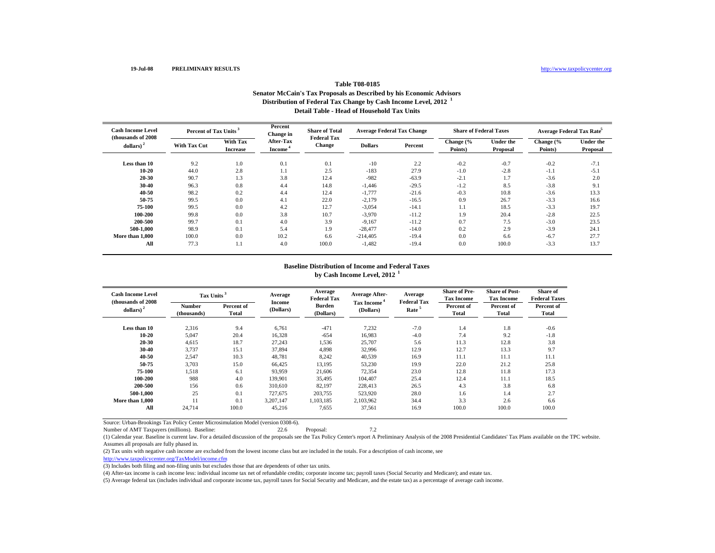## **Table T08-0185 Senator McCain's Tax Proposals as Described by his Economic Advisors Distribution of Federal Tax Change by Cash Income Level, 2012 <sup>1</sup> Detail Table - Head of Household Tax Units**

| <b>Cash Income Level</b><br>(thousands of 2008) | Percent of Tax Units |                                    | Percent<br>Change in                    | <b>Share of Total</b><br><b>Federal Tax</b> | <b>Average Federal Tax Change</b> |         | <b>Share of Federal Taxes</b> |                              | Average Federal Tax Rate <sup>5</sup> |                              |
|-------------------------------------------------|----------------------|------------------------------------|-----------------------------------------|---------------------------------------------|-----------------------------------|---------|-------------------------------|------------------------------|---------------------------------------|------------------------------|
| dollars) <sup>2</sup>                           | <b>With Tax Cut</b>  | <b>With Tax</b><br><b>Increase</b> | <b>After-Tax</b><br>Income <sup>*</sup> | <b>Change</b>                               | <b>Dollars</b>                    | Percent | Change (%<br>Points)          | <b>Under the</b><br>Proposal | Change (%<br>Points)                  | <b>Under the</b><br>Proposal |
| Less than 10                                    | 9.2                  | 1.0                                | 0.1                                     | 0.1                                         | $-10$                             | 2.2     | $-0.2$                        | $-0.7$                       | $-0.2$                                | $-7.1$                       |
| $10 - 20$                                       | 44.0                 | 2.8                                | 1.1                                     | 2.5                                         | $-183$                            | 27.9    | $-1.0$                        | $-2.8$                       | $-1.1$                                | $-5.1$                       |
| 20-30                                           | 90.7                 | 1.3                                | 3.8                                     | 12.4                                        | $-982$                            | $-63.9$ | $-2.1$                        | 1.7                          | $-3.6$                                | 2.0                          |
| $30 - 40$                                       | 96.3                 | 0.8                                | 4.4                                     | 14.8                                        | $-1,446$                          | $-29.5$ | $-1.2$                        | 8.5                          | $-3.8$                                | 9.1                          |
| 40-50                                           | 98.2                 | 0.2                                | 4.4                                     | 12.4                                        | $-1,777$                          | $-21.6$ | $-0.3$                        | 10.8                         | $-3.6$                                | 13.3                         |
| 50-75                                           | 99.5                 | 0.0                                | 4.1                                     | 22.0                                        | $-2,179$                          | $-16.5$ | 0.9                           | 26.7                         | $-3.3$                                | 16.6                         |
| 75-100                                          | 99.5                 | 0.0                                | 4.2                                     | 12.7                                        | $-3,054$                          | $-14.1$ | 1.1                           | 18.5                         | $-3.3$                                | 19.7                         |
| 100-200                                         | 99.8                 | 0.0                                | 3.8                                     | 10.7                                        | $-3,970$                          | $-11.2$ | 1.9                           | 20.4                         | $-2.8$                                | 22.5                         |
| 200-500                                         | 99.7                 | 0.1                                | 4.0                                     | 3.9                                         | $-9.167$                          | $-11.2$ | 0.7                           | 7.5                          | $-3.0$                                | 23.5                         |
| 500-1.000                                       | 98.9                 | 0.1                                | 5.4                                     | 1.9                                         | $-28,477$                         | $-14.0$ | 0.2                           | 2.9                          | $-3.9$                                | 24.1                         |
| More than 1,000                                 | 100.0                | 0.0                                | 10.2                                    | 6.6                                         | $-214,405$                        | $-19.4$ | 0.0                           | 6.6                          | $-6.7$                                | 27.7                         |
| All                                             | 77.3                 | 1.1                                | 4.0                                     | 100.0                                       | $-1,482$                          | $-19.4$ | 0.0                           | 100.0                        | $-3.3$                                | 13.7                         |

## **Baseline Distribution of Income and Federal Taxesby Cash Income Level, 2012 <sup>1</sup>**

| <b>Cash Income Level</b><br>(thousands of 2008) | Tax Units <sup>3</sup>       |                     | Average                    | Average<br><b>Federal Tax</b> | <b>Average After-</b><br>Tax Income <sup>4</sup> | Average<br><b>Federal Tax</b> | <b>Share of Pre-</b><br><b>Tax Income</b> | <b>Share of Post-</b><br><b>Tax Income</b> | <b>Share of</b><br><b>Federal Taxes</b> |
|-------------------------------------------------|------------------------------|---------------------|----------------------------|-------------------------------|--------------------------------------------------|-------------------------------|-------------------------------------------|--------------------------------------------|-----------------------------------------|
| dollars) $2$                                    | <b>Number</b><br>(thousands) | Percent of<br>Total | <b>Income</b><br>(Dollars) | <b>Burden</b><br>(Dollars)    | (Dollars)                                        | Rate <sup>5</sup>             | Percent of<br><b>Total</b>                | Percent of<br>Total                        | Percent of<br>Total                     |
| Less than 10                                    | 2,316                        | 9.4                 | 6,761                      | $-471$                        | 7,232                                            | $-7.0$                        | 1.4                                       | 1.8                                        | $-0.6$                                  |
| $10 - 20$                                       | 5,047                        | 20.4                | 16,328                     | $-654$                        | 16.983                                           | $-4.0$                        | 7.4                                       | 9.2                                        | $-1.8$                                  |
| 20-30                                           | 4,615                        | 18.7                | 27,243                     | 1,536                         | 25,707                                           | 5.6                           | 11.3                                      | 12.8                                       | 3.8                                     |
| 30-40                                           | 3,737                        | 15.1                | 37,894                     | 4,898                         | 32,996                                           | 12.9                          | 12.7                                      | 13.3                                       | 9.7                                     |
| 40-50                                           | 2,547                        | 10.3                | 48,781                     | 8,242                         | 40,539                                           | 16.9                          | 11.1                                      | 11.1                                       | 11.1                                    |
| 50-75                                           | 3,703                        | 15.0                | 66,425                     | 13,195                        | 53,230                                           | 19.9                          | 22.0                                      | 21.2                                       | 25.8                                    |
| 75-100                                          | 1,518                        | 6.1                 | 93,959                     | 21,606                        | 72,354                                           | 23.0                          | 12.8                                      | 11.8                                       | 17.3                                    |
| 100-200                                         | 988                          | 4.0                 | 139,901                    | 35,495                        | 104,407                                          | 25.4                          | 12.4                                      | 11.1                                       | 18.5                                    |
| 200-500                                         | 156                          | 0.6                 | 310.610                    | 82.197                        | 228,413                                          | 26.5                          | 4.3                                       | 3.8                                        | 6.8                                     |
| 500-1.000                                       | 25                           | 0.1                 | 727.675                    | 203,755                       | 523.920                                          | 28.0                          | 1.6                                       | 1.4                                        | 2.7                                     |
| More than 1.000                                 | 11                           | 0.1                 | 3.207.147                  | 1.103.185                     | 2.103.962                                        | 34.4                          | 3.3                                       | 2.6                                        | 6.6                                     |
| All                                             | 24,714                       | 100.0               | 45,216                     | 7,655                         | 37,561                                           | 16.9                          | 100.0                                     | 100.0                                      | 100.0                                   |

Source: Urban-Brookings Tax Policy Center Microsimulation Model (version 0308-6).

Number of AMT Taxpayers (millions). Baseline: 22.6 Proposal: 7.2

(1) Calendar year. Baseline is current law. For a detailed discussion of the proposals see the Tax Policy Center's report A Preliminary Analysis of the 2008 Presidential Candidates' Tax Plans available on the TPC website. Assumes all proposals are fully phased in.

(2) Tax units with negative cash income are excluded from the lowest income class but are included in the totals. For a description of cash income, see

http://www.taxpolicycenter.org/TaxModel/income.cfm

(3) Includes both filing and non-filing units but excludes those that are dependents of other tax units.

(4) After-tax income is cash income less: individual income tax net of refundable credits; corporate income tax; payroll taxes (Social Security and Medicare); and estate tax.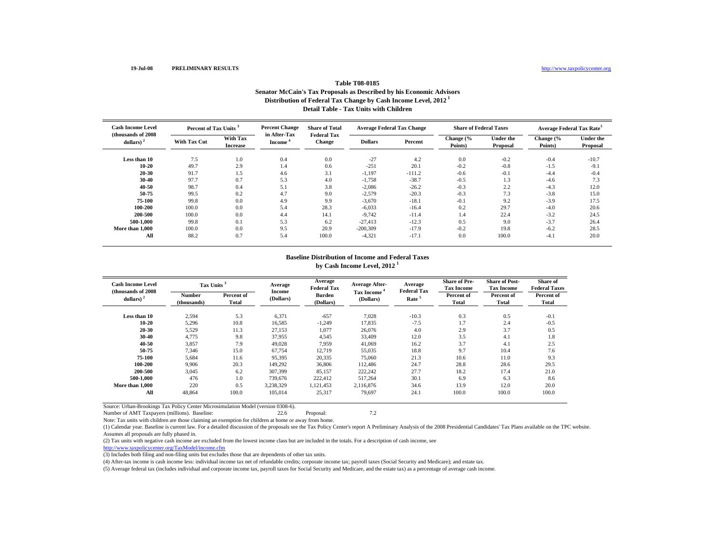## **Table T08-0185Senator McCain's Tax Proposals as Described by his Economic Advisors Distribution of Federal Tax Change by Cash Income Level, 2012 1 Detail Table - Tax Units with Children**

| <b>Cash Income Level</b><br>(thousands of 2008) | Percent of Tax Units <sup>3</sup> |                             | <b>Percent Change</b><br>in After-Tax | <b>Share of Total</b>        | <b>Average Federal Tax Change</b> |          | <b>Share of Federal Taxes</b> |                              | <b>Average Federal Tax Rate<sup>5</sup></b> |                              |
|-------------------------------------------------|-----------------------------------|-----------------------------|---------------------------------------|------------------------------|-----------------------------------|----------|-------------------------------|------------------------------|---------------------------------------------|------------------------------|
| dollars) $2$                                    | <b>With Tax Cut</b>               | With Tax<br><b>Increase</b> | Income                                | <b>Federal Tax</b><br>Change | <b>Dollars</b>                    | Percent  | Change (%<br>Points)          | <b>Under the</b><br>Proposal | Change (%<br>Points)                        | <b>Under the</b><br>Proposal |
| Less than 10                                    | 7.5                               | 1.0                         | 0.4                                   | 0.0                          | $-27$                             | 4.2      | 0.0                           | $-0.2$                       | $-0.4$                                      | $-10.7$                      |
| $10 - 20$                                       | 49.7                              | 2.9                         | 1.4                                   | 0.6                          | $-251$                            | 20.1     | $-0.2$                        | $-0.8$                       | $-1.5$                                      | $-9.1$                       |
| 20-30                                           | 91.7                              | 1.5                         | 4.6                                   | 3.1                          | $-1,197$                          | $-111.2$ | $-0.6$                        | $-0.1$                       | $-4.4$                                      | $-0.4$                       |
| $30-40$                                         | 97.7                              | 0.7                         | 5.3                                   | 4.0                          | $-1,758$                          | $-38.7$  | $-0.5$                        | 1.3                          | $-4.6$                                      | 7.3                          |
| 40-50                                           | 98.7                              | 0.4                         | 5.1                                   | 3.8                          | $-2,086$                          | $-26.2$  | $-0.3$                        | 2.2                          | $-4.3$                                      | 12.0                         |
| 50-75                                           | 99.5                              | 0.2                         | 4.7                                   | 9.0                          | $-2,579$                          | $-20.3$  | $-0.3$                        | 7.3                          | $-3.8$                                      | 15.0                         |
| 75-100                                          | 99.8                              | 0.0                         | 4.9                                   | 9.9                          | $-3,670$                          | $-18.1$  | $-0.1$                        | 9.2                          | $-3.9$                                      | 17.5                         |
| 100-200                                         | 100.0                             | 0.0                         | 5.4                                   | 28.3                         | $-6,033$                          | $-16.4$  | 0.2                           | 29.7                         | $-4.0$                                      | 20.6                         |
| 200-500                                         | 100.0                             | 0.0                         | 4.4                                   | 14.1                         | $-9,742$                          | $-11.4$  | 1.4                           | 22.4                         | $-3.2$                                      | 24.5                         |
| 500-1.000                                       | 99.8                              | 0.1                         | 5.3                                   | 6.2                          | $-27,413$                         | $-12.3$  | 0.5                           | 9.0                          | $-3.7$                                      | 26.4                         |
| More than 1,000                                 | 100.0                             | 0.0                         | 9.5                                   | 20.9                         | $-200,309$                        | $-17.9$  | $-0.2$                        | 19.8                         | $-6.2$                                      | 28.5                         |
| All                                             | 88.2                              | 0.7                         | 5.4                                   | 100.0                        | $-4,321$                          | $-17.1$  | 0.0                           | 100.0                        | $-4.1$                                      | 20.0                         |

#### **Baseline Distribution of Income and Federal Taxes by Cash Income Level, 2012 <sup>1</sup>**

| <b>Cash Income Level</b><br>(thousands of 2008) | Tax Units <sup>3</sup> |                     | Average             | Average<br><b>Federal Tax</b> | <b>Average After-</b>                | Average<br><b>Federal Tax</b> | <b>Share of Pre-</b><br><b>Tax Income</b> | <b>Share of Post-</b><br><b>Tax Income</b> | Share of<br><b>Federal Taxes</b> |
|-------------------------------------------------|------------------------|---------------------|---------------------|-------------------------------|--------------------------------------|-------------------------------|-------------------------------------------|--------------------------------------------|----------------------------------|
| dollars) $2$                                    | Number<br>(thousands)  | Percent of<br>Total | Income<br>(Dollars) | Burden<br>(Dollars)           | Tax Income <sup>4</sup><br>(Dollars) | Rate <sup>5</sup>             | Percent of<br>Total                       | Percent of<br>Total                        | Percent of<br>Total              |
| Less than 10                                    | 2,594                  | 5.3                 | 6,371               | $-657$                        | 7,028                                | $-10.3$                       | 0.3                                       | 0.5                                        | $-0.1$                           |
| $10 - 20$                                       | 5,296                  | 10.8                | 16.585              | $-1.249$                      | 17.835                               | $-7.5$                        | 1.7                                       | 2.4                                        | $-0.5$                           |
| 20-30                                           | 5,529                  | 11.3                | 27,153              | 1,077                         | 26,076                               | 4.0                           | 2.9                                       | 3.7                                        | 0.5                              |
| 30-40                                           | 4.775                  | 9.8                 | 37,955              | 4,545                         | 33,409                               | 12.0                          | 3.5                                       | 4.1                                        | 1.8                              |
| 40-50                                           | 3,857                  | 7.9                 | 49.028              | 7.959                         | 41,069                               | 16.2                          | 3.7                                       | 4.1                                        | 2.5                              |
| 50-75                                           | 7,346                  | 15.0                | 67,754              | 12,719                        | 55,035                               | 18.8                          | 9.7                                       | 10.4                                       | 7.6                              |
| 75-100                                          | 5,684                  | 11.6                | 95,395              | 20,335                        | 75,060                               | 21.3                          | 10.6                                      | 11.0                                       | 9.3                              |
| 100-200                                         | 9.906                  | 20.3                | 149.292             | 36,806                        | 112,486                              | 24.7                          | 28.8                                      | 28.6                                       | 29.5                             |
| 200-500                                         | 3,045                  | 6.2                 | 307,399             | 85,157                        | 222,242                              | 27.7                          | 18.2                                      | 17.4                                       | 21.0                             |
| 500-1.000                                       | 476                    | 1.0                 | 739,676             | 222,412                       | 517,264                              | 30.1                          | 6.9                                       | 6.3                                        | 8.6                              |
| More than 1.000                                 | 220                    | 0.5                 | 3.238.329           | 1.121.453                     | 2.116.876                            | 34.6                          | 13.9                                      | 12.0                                       | 20.0                             |
| All                                             | 48,864                 | 100.0               | 105,014             | 25,317                        | 79.697                               | 24.1                          | 100.0                                     | 100.0                                      | 100.0                            |

Source: Urban-Brookings Tax Policy Center Microsimulation Model (version 0308-6).

Number of AMT Taxpayers (millions). Baseline: 22.6 Proposal: 7.2

Note: Tax units with children are those claiming an exemption for children at home or away from home.

(1) Calendar year. Baseline is current law. For a detailed discussion of the proposals see the Tax Policy Center's report A Preliminary Analysis of the 2008 Presidential Candidates' Tax Plans available on the TPC website. Assumes all proposals are fully phased in.

(2) Tax units with negative cash income are excluded from the lowest income class but are included in the totals. For a description of cash income, see

http://www.taxpolicycenter.org/TaxModel/income.cfm

(3) Includes both filing and non-filing units but excludes those that are dependents of other tax units.

(4) After-tax income is cash income less: individual income tax net of refundable credits; corporate income tax; payroll taxes (Social Security and Medicare); and estate tax.